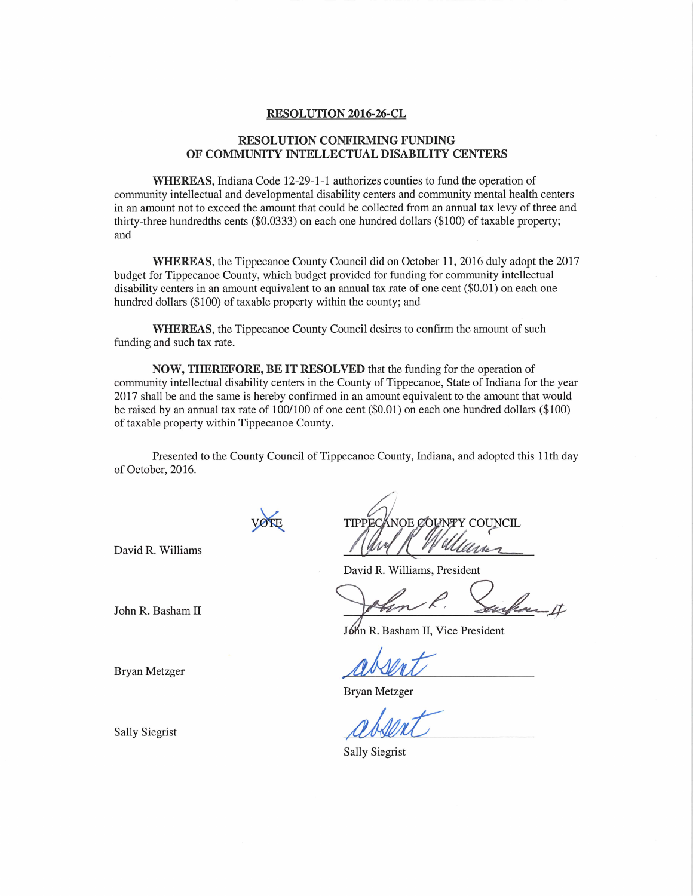## RESOLUTION 2016-26-CL

## RESOLUTION CONFIRMING FUNDING OF COMMUNITY INTELLECTUAL DISABILITY CENTERS

WHEREAS, Indiana Code 12-29-1-1 authorizes counties to fund the operation of community intellectual and developmental disability centers and community mental health centers **INTERT AND AND AMOUNTLY INTELLECTUAL DISABILITY CENTERS**<br>WHEREAS, Indiana Code 12-29-1-1 authorizes counties to fund the operation of<br>community intellectual and developmental disability centers and community mental health WHEREAS, Indiana Code 12-29-1-1 authorizes counties to fund the operation of<br>community intellectual and developmental disability centers and community mental health cent<br>in an amount not to exceed the amount that could be com<br>in a<br>thirt<br>and thirty-three hundredths cents (\$0.0333) on each one hundred dollars (\$100) of taxable property;<br>and<br>WHEREAS, the Tippecanoe County Council did on October 11, 2016 duly adopt the 2017

**budget for Tippecanoe County Council did on October 11, 2016 duly adopt the 2**<br>budget for Tippecanoe County, which budget provided for funding for community intellectual<br>disability centers in an amount equivalent to an an WHEREAS, the Tippecanoe County Council did on October 11, 2016 duly adopt th<br>budget for Tippecanoe County, which budget provided for funding for community intellectual<br>disability centers in an amount equivalent to an annua

hundred dollars (\$100) of taxable property within the county; and<br>WHEREAS, the Tippecanoe County Council desires to c<br>funding and such tax rate. WHEREAS, the Tippecanoe County Council desires to confirm the amount of such and such tax rate.<br>NOW, THEREFORE, BE IT RESOLVED that the funding for the operation of

community intellectual disability centers in the County of Tippecanoe, State of Indiana for the year **2017 Shall be and the same is hereby confirmed in an amount equivalent to the amount that would**<br>2017 shall be and the same is hereby confirmed in an amount equivalent to the amount that would NOW, THEREFORE, BE IT RESOLVED that the funding for the operation of<br>community intellectual disability centers in the County of Tippecanoe, State of Indiana for the yea<br>2017 shall be and the same is hereby confirmed in an community intellectual disability centers in the<br>2017 shall be and the same is hereby confirmed<br>be raised by an annual tax rate of 100/100 of o<br>of taxable property within Tippecanoe County. be raised by an annual tax rate of 100/100 of one cent (\$0.01) on each one hundred dollars (\$100) of taxable property within Tippecanoe County.<br>Presented to the County Council of Tippecanoe County, Indiana, and adopted thi

of October, 2016.

David R. Williams

David R. Williams, President VOTE TIPPECANOE COUNTY COUNCIL<br>David R. Williams, President<br>John R. Basham II

Jóhn R. Basham II, Vice President

 $\begin{picture}(180,10) \put(0,0){\line(1,0){10}} \put(15,0){\line(1,0){10}} \put(15,0){\line(1,0){10}} \put(15,0){\line(1,0){10}} \put(15,0){\line(1,0){10}} \put(15,0){\line(1,0){10}} \put(15,0){\line(1,0){10}} \put(15,0){\line(1,0){10}} \put(15,0){\line(1,0){10}} \put(15,0){\line(1,0){10}} \put(15,0){\line(1,0){10}} \put(15,0){\line($ 

Bryan Metzger

Bryan Metzger<br>Bryan Metzger<br>Sally Siegrist *QUALI* 

Sally Siegrist